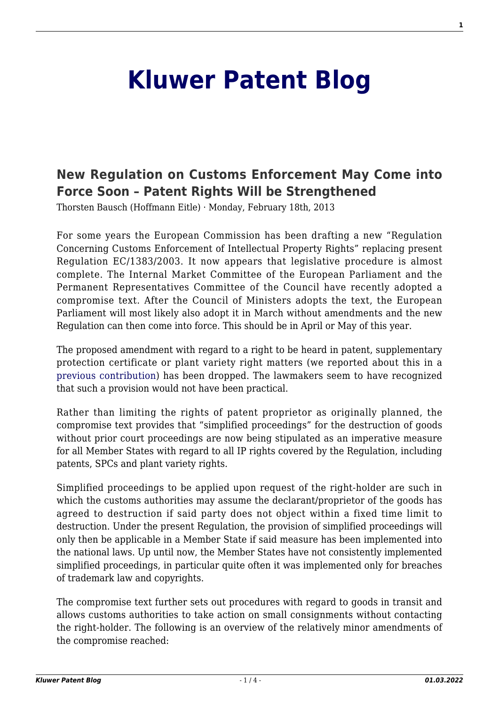# **[Kluwer Patent Blog](http://patentblog.kluweriplaw.com/)**

## **[New Regulation on Customs Enforcement May Come into](http://patentblog.kluweriplaw.com/2013/02/18/new-regulation-on-customs-enforcement-may-come-into-force-soon-patent-rights-will-be-strengthened/) [Force Soon – Patent Rights Will be Strengthened](http://patentblog.kluweriplaw.com/2013/02/18/new-regulation-on-customs-enforcement-may-come-into-force-soon-patent-rights-will-be-strengthened/)**

Thorsten Bausch (Hoffmann Eitle) · Monday, February 18th, 2013

For some years the European Commission has been drafting a new "Regulation Concerning Customs Enforcement of Intellectual Property Rights" replacing present Regulation EC/1383/2003. It now appears that legislative procedure is almost complete. The Internal Market Committee of the European Parliament and the Permanent Representatives Committee of the Council have recently adopted a compromise text. After the Council of Ministers adopts the text, the European Parliament will most likely also adopt it in March without amendments and the new Regulation can then come into force. This should be in April or May of this year.

The proposed amendment with regard to a right to be heard in patent, supplementary protection certificate or plant variety right matters (we reported about this in a [previous contribution](http://kluwerpatentblog.com/2012/09/13/draft-new-regulation-on-border-measures-de-facto-abolition-of-customs-action-with-regard-to-patents/)) has been dropped. The lawmakers seem to have recognized that such a provision would not have been practical.

Rather than limiting the rights of patent proprietor as originally planned, the compromise text provides that "simplified proceedings" for the destruction of goods without prior court proceedings are now being stipulated as an imperative measure for all Member States with regard to all IP rights covered by the Regulation, including patents, SPCs and plant variety rights.

Simplified proceedings to be applied upon request of the right-holder are such in which the customs authorities may assume the declarant/proprietor of the goods has agreed to destruction if said party does not object within a fixed time limit to destruction. Under the present Regulation, the provision of simplified proceedings will only then be applicable in a Member State if said measure has been implemented into the national laws. Up until now, the Member States have not consistently implemented simplified proceedings, in particular quite often it was implemented only for breaches of trademark law and copyrights.

The compromise text further sets out procedures with regard to goods in transit and allows customs authorities to take action on small consignments without contacting the right-holder. The following is an overview of the relatively minor amendments of the compromise reached: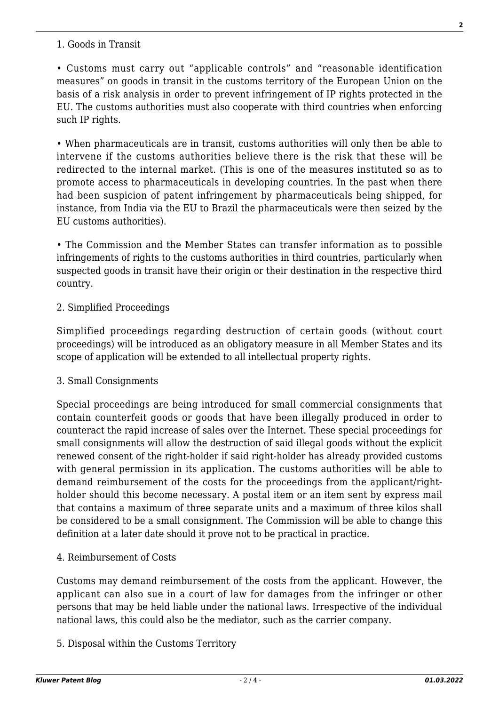#### 1. Goods in Transit

• Customs must carry out "applicable controls" and "reasonable identification measures" on goods in transit in the customs territory of the European Union on the basis of a risk analysis in order to prevent infringement of IP rights protected in the EU. The customs authorities must also cooperate with third countries when enforcing such IP rights.

• When pharmaceuticals are in transit, customs authorities will only then be able to intervene if the customs authorities believe there is the risk that these will be redirected to the internal market. (This is one of the measures instituted so as to promote access to pharmaceuticals in developing countries. In the past when there had been suspicion of patent infringement by pharmaceuticals being shipped, for instance, from India via the EU to Brazil the pharmaceuticals were then seized by the EU customs authorities).

• The Commission and the Member States can transfer information as to possible infringements of rights to the customs authorities in third countries, particularly when suspected goods in transit have their origin or their destination in the respective third country.

#### 2. Simplified Proceedings

Simplified proceedings regarding destruction of certain goods (without court proceedings) will be introduced as an obligatory measure in all Member States and its scope of application will be extended to all intellectual property rights.

#### 3. Small Consignments

Special proceedings are being introduced for small commercial consignments that contain counterfeit goods or goods that have been illegally produced in order to counteract the rapid increase of sales over the Internet. These special proceedings for small consignments will allow the destruction of said illegal goods without the explicit renewed consent of the right-holder if said right-holder has already provided customs with general permission in its application. The customs authorities will be able to demand reimbursement of the costs for the proceedings from the applicant/rightholder should this become necessary. A postal item or an item sent by express mail that contains a maximum of three separate units and a maximum of three kilos shall be considered to be a small consignment. The Commission will be able to change this definition at a later date should it prove not to be practical in practice.

#### 4. Reimbursement of Costs

Customs may demand reimbursement of the costs from the applicant. However, the applicant can also sue in a court of law for damages from the infringer or other persons that may be held liable under the national laws. Irrespective of the individual national laws, this could also be the mediator, such as the carrier company.

5. Disposal within the Customs Territory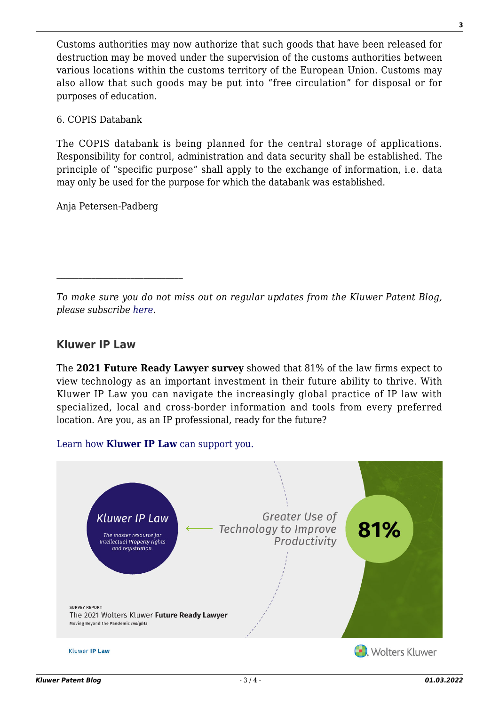Customs authorities may now authorize that such goods that have been released for destruction may be moved under the supervision of the customs authorities between various locations within the customs territory of the European Union. Customs may also allow that such goods may be put into "free circulation" for disposal or for purposes of education.

6. COPIS Databank

The COPIS databank is being planned for the central storage of applications. Responsibility for control, administration and data security shall be established. The principle of "specific purpose" shall apply to the exchange of information, i.e. data may only be used for the purpose for which the databank was established.

Anja Petersen-Padberg

*To make sure you do not miss out on regular updates from the Kluwer Patent Blog, please subscribe [here.](http://patentblog.kluweriplaw.com/newsletter)*

### **Kluwer IP Law**

The **2021 Future Ready Lawyer survey** showed that 81% of the law firms expect to view technology as an important investment in their future ability to thrive. With Kluwer IP Law you can navigate the increasingly global practice of IP law with specialized, local and cross-border information and tools from every preferred location. Are you, as an IP professional, ready for the future?

[Learn how](https://www.wolterskluwer.com/en/solutions/kluweriplaw?utm_source=patentblog&utm_medium=articleCTA&utm_campaign=article-banner) **[Kluwer IP Law](https://www.wolterskluwer.com/en/solutions/kluweriplaw?utm_source=patentblog&utm_medium=articleCTA&utm_campaign=article-banner)** [can support you.](https://www.wolterskluwer.com/en/solutions/kluweriplaw?utm_source=patentblog&utm_medium=articleCTA&utm_campaign=article-banner)